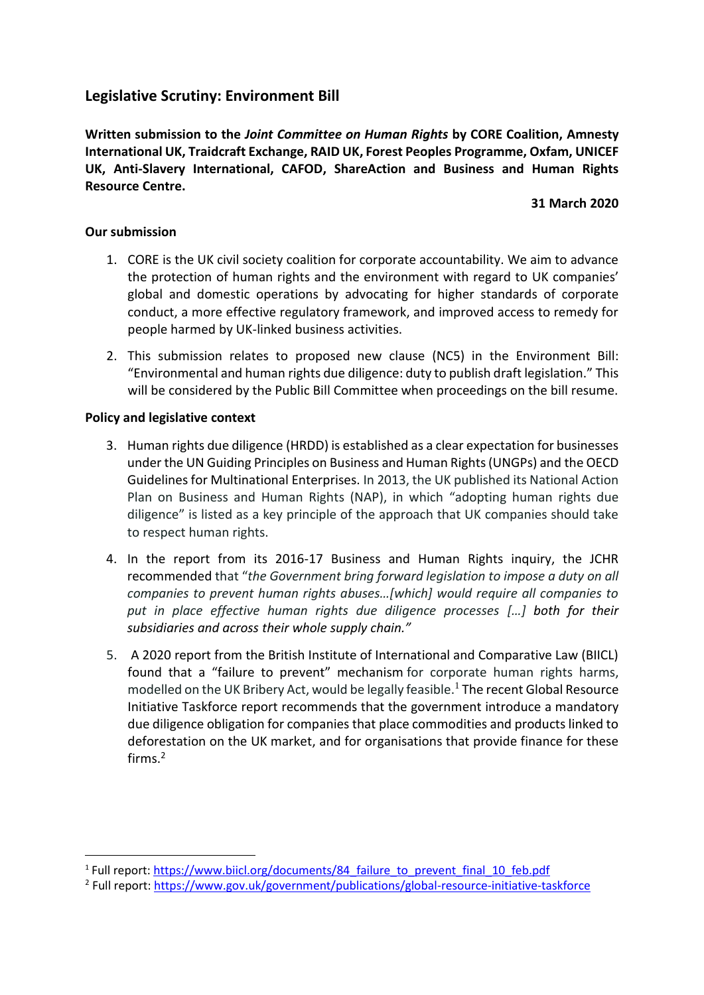# **Legislative Scrutiny: Environment Bill**

**Written submission to the** *Joint Committee on Human Rights* **by CORE Coalition, Amnesty International UK, Traidcraft Exchange, RAID UK, Forest Peoples Programme, Oxfam, UNICEF UK, Anti-Slavery International, CAFOD, ShareAction and Business and Human Rights Resource Centre.**

#### **31 March 2020**

## **Our submission**

- 1. CORE is the UK civil society coalition for corporate accountability. We aim to advance the protection of human rights and the environment with regard to UK companies' global and domestic operations by advocating for higher standards of corporate conduct, a more effective regulatory framework, and improved access to remedy for people harmed by UK-linked business activities.
- 2. This submission relates to proposed new clause (NC5) in the Environment Bill: "Environmental and human rights due diligence: duty to publish draft legislation." This will be considered by the Public Bill Committee when proceedings on the bill resume.

## **Policy and legislative context**

- 3. Human rights due diligence (HRDD) is established as a clear expectation for businesses under the UN Guiding Principles on Business and Human Rights (UNGPs) and the OECD Guidelines for Multinational Enterprises. In 2013, the UK published its National Action Plan on Business and Human Rights (NAP), in which "adopting human rights due diligence" is listed as a key principle of the approach that UK companies should take to respect human rights.
- 4. In the report from its 2016-17 Business and Human Rights inquiry, the JCHR recommended that "*the Government bring forward legislation to impose a duty on all companies to prevent human rights abuses…[which] would require all companies to put in place effective human rights due diligence processes […] both for their subsidiaries and across their whole supply chain."*
- 5. A 2020 report from the British Institute of International and Comparative Law (BIICL) found that a "failure to prevent" mechanism for corporate human rights harms, modelled on the UK Bribery Act, would be legally feasible.<sup>1</sup> The recent Global Resource Initiative Taskforce report recommends that the government introduce a mandatory due diligence obligation for companies that place commodities and products linked to deforestation on the UK market, and for organisations that provide finance for these firms. 2

<sup>&</sup>lt;sup>1</sup> Full report: [https://www.biicl.org/documents/84\\_failure\\_to\\_prevent\\_final\\_10\\_feb.pdf](https://www.biicl.org/documents/84_failure_to_prevent_final_10_feb.pdf)

<sup>&</sup>lt;sup>2</sup> Full report:<https://www.gov.uk/government/publications/global-resource-initiative-taskforce>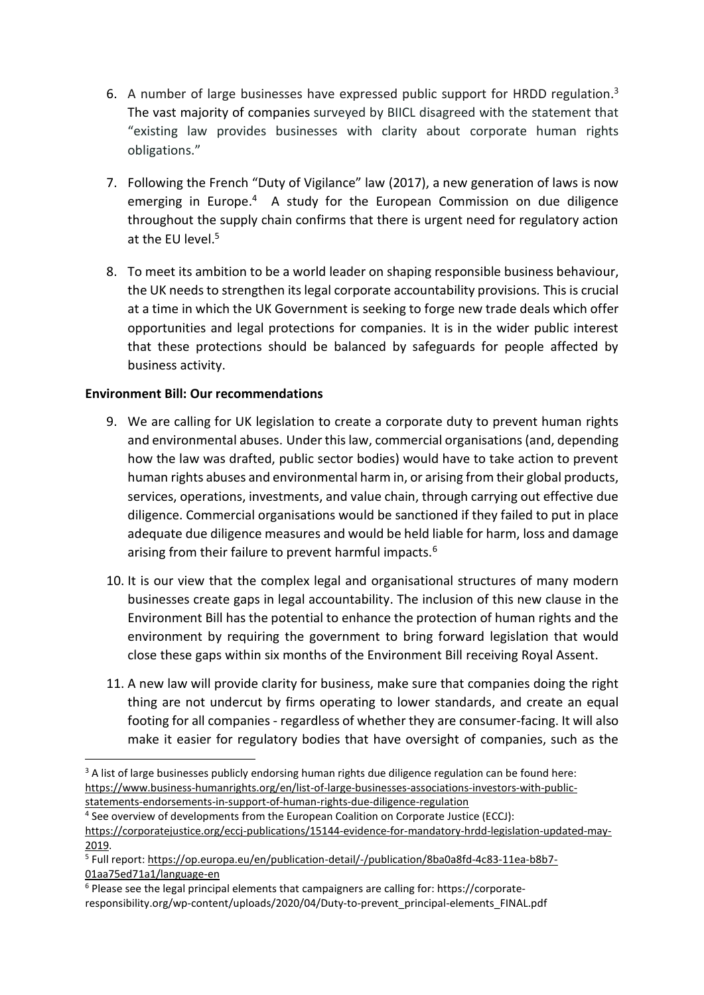- 6. A number of large businesses have expressed public support for HRDD regulation.<sup>3</sup> The vast majority of companies surveyed by BIICL disagreed with the statement that "existing law provides businesses with clarity about corporate human rights obligations."
- 7. Following the French "Duty of Vigilance" law (2017), a new generation of laws is now emerging in Europe.<sup>4</sup> A study for the European Commission on due diligence throughout the supply chain confirms that there is urgent need for regulatory action at the EU level. 5
- 8. To meet its ambition to be a world leader on shaping responsible business behaviour, the UK needs to strengthen its legal corporate accountability provisions*.* This is crucial at a time in which the UK Government is seeking to forge new trade deals which offer opportunities and legal protections for companies. It is in the wider public interest that these protections should be balanced by safeguards for people affected by business activity.

## **Environment Bill: Our recommendations**

- 9. We are calling for UK legislation to create a corporate duty to prevent human rights and environmental abuses. Under this law, commercial organisations (and, depending how the law was drafted, public sector bodies) would have to take action to prevent human rights abuses and environmental harm in, or arising from their global products, services, operations, investments, and value chain, through carrying out effective due diligence. Commercial organisations would be sanctioned if they failed to put in place adequate due diligence measures and would be held liable for harm, loss and damage arising from their failure to prevent harmful impacts.<sup>6</sup>
- 10. It is our view that the complex legal and organisational structures of many modern businesses create gaps in legal accountability. The inclusion of this new clause in the Environment Bill has the potential to enhance the protection of human rights and the environment by requiring the government to bring forward legislation that would close these gaps within six months of the Environment Bill receiving Royal Assent.
- 11. A new law will provide clarity for business, make sure that companies doing the right thing are not undercut by firms operating to lower standards, and create an equal footing for all companies - regardless of whether they are consumer-facing. It will also make it easier for regulatory bodies that have oversight of companies, such as the

<sup>&</sup>lt;sup>3</sup> A list of large businesses publicly endorsing human rights due diligence regulation can be found here: [https://www.business-humanrights.org/en/list-of-large-businesses-associations-investors-with-public](https://www.business-humanrights.org/en/list-of-large-businesses-associations-investors-with-public-statements-endorsements-in-support-of-human-rights-due-diligence-regulation)[statements-endorsements-in-support-of-human-rights-due-diligence-regulation](https://www.business-humanrights.org/en/list-of-large-businesses-associations-investors-with-public-statements-endorsements-in-support-of-human-rights-due-diligence-regulation)

<sup>&</sup>lt;sup>4</sup> See overview of developments from the European Coalition on Corporate Justice (ECCJ):

[https://corporatejustice.org/eccj-publications/15144-evidence-for-mandatory-hrdd-legislation-updated-may-](https://corporatejustice.org/eccj-publications/15144-evidence-for-mandatory-hrdd-legislation-updated-may-2019)[2019.](https://corporatejustice.org/eccj-publications/15144-evidence-for-mandatory-hrdd-legislation-updated-may-2019)

<sup>&</sup>lt;sup>5</sup> Full report: [https://op.europa.eu/en/publication-detail/-/publication/8ba0a8fd-4c83-11ea-b8b7-](https://op.europa.eu/en/publication-detail/-/publication/8ba0a8fd-4c83-11ea-b8b7-01aa75ed71a1/language-en) [01aa75ed71a1/language-en](https://op.europa.eu/en/publication-detail/-/publication/8ba0a8fd-4c83-11ea-b8b7-01aa75ed71a1/language-en)

 $6$  Please see the legal principal elements that campaigners are calling for: https://corporateresponsibility.org/wp-content/uploads/2020/04/Duty-to-prevent\_principal-elements\_FINAL.pdf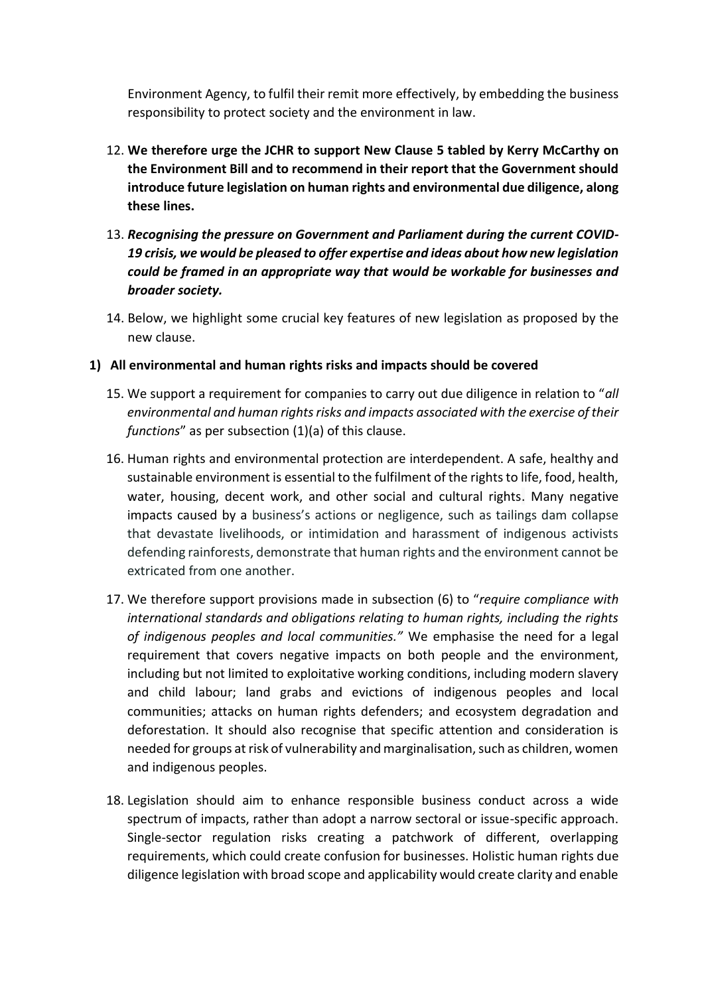Environment Agency, to fulfil their remit more effectively, by embedding the business responsibility to protect society and the environment in law.

- 12. **We therefore urge the JCHR to support New Clause 5 tabled by Kerry McCarthy on the Environment Bill and to recommend in their report that the Government should introduce future legislation on human rights and environmental due diligence, along these lines.**
- 13. *Recognising the pressure on Government and Parliament during the current COVID-19 crisis, we would be pleased to offer expertise and ideas about how new legislation could be framed in an appropriate way that would be workable for businesses and broader society.*
- 14. Below, we highlight some crucial key features of new legislation as proposed by the new clause.
- **1) All environmental and human rights risks and impacts should be covered**
	- 15. We support a requirement for companies to carry out due diligence in relation to "*all environmental and human rights risks and impacts associated with the exercise of their functions*" as per subsection (1)(a) of this clause.
	- 16. Human rights and environmental protection are interdependent. A safe, healthy and sustainable environment is essential to the fulfilment of the rights to life, food, health, water, housing, decent work, and other social and cultural rights. Many negative impacts caused by a business's actions or negligence, such as tailings dam collapse that devastate livelihoods, or intimidation and harassment of indigenous activists defending rainforests, demonstrate that human rights and the environment cannot be extricated from one another.
	- 17. We therefore support provisions made in subsection (6) to "*require compliance with international standards and obligations relating to human rights, including the rights of indigenous peoples and local communities."* We emphasise the need for a legal requirement that covers negative impacts on both people and the environment, including but not limited to exploitative working conditions, including modern slavery and child labour; land grabs and evictions of indigenous peoples and local communities; attacks on human rights defenders; and ecosystem degradation and deforestation. It should also recognise that specific attention and consideration is needed for groups at risk of vulnerability and marginalisation, such as children, women and indigenous peoples.
	- 18. Legislation should aim to enhance responsible business conduct across a wide spectrum of impacts, rather than adopt a narrow sectoral or issue-specific approach. Single-sector regulation risks creating a patchwork of different, overlapping requirements, which could create confusion for businesses. Holistic human rights due diligence legislation with broad scope and applicability would create clarity and enable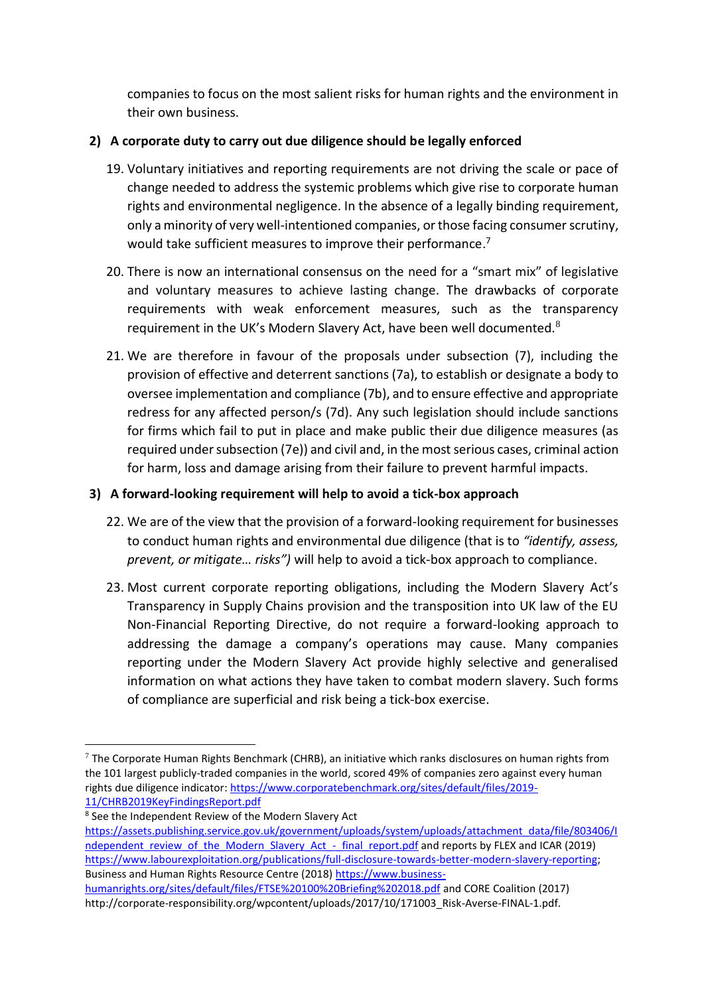companies to focus on the most salient risks for human rights and the environment in their own business.

## **2) A corporate duty to carry out due diligence should be legally enforced**

- 19. Voluntary initiatives and reporting requirements are not driving the scale or pace of change needed to address the systemic problems which give rise to corporate human rights and environmental negligence. In the absence of a legally binding requirement, only a minority of very well-intentioned companies, or those facing consumer scrutiny, would take sufficient measures to improve their performance.<sup>7</sup>
- 20. There is now an international consensus on the need for a "smart mix" of legislative and voluntary measures to achieve lasting change. The drawbacks of corporate requirements with weak enforcement measures, such as the transparency requirement in the UK's Modern Slavery Act, have been well documented.<sup>8</sup>
- 21. We are therefore in favour of the proposals under subsection (7), including the provision of effective and deterrent sanctions (7a), to establish or designate a body to oversee implementation and compliance (7b), and to ensure effective and appropriate redress for any affected person/s (7d). Any such legislation should include sanctions for firms which fail to put in place and make public their due diligence measures (as required under subsection (7e)) and civil and, in the most serious cases, criminal action for harm, loss and damage arising from their failure to prevent harmful impacts.

## **3) A forward-looking requirement will help to avoid a tick-box approach**

- 22. We are of the view that the provision of a forward-looking requirement for businesses to conduct human rights and environmental due diligence (that is to *"identify, assess, prevent, or mitigate… risks")* will help to avoid a tick-box approach to compliance.
- 23. Most current corporate reporting obligations, including the Modern Slavery Act's Transparency in Supply Chains provision and the transposition into UK law of the EU Non-Financial Reporting Directive, do not require a forward-looking approach to addressing the damage a company's operations may cause. Many companies reporting under the Modern Slavery Act provide highly selective and generalised information on what actions they have taken to combat modern slavery. Such forms of compliance are superficial and risk being a tick-box exercise.

[humanrights.org/sites/default/files/FTSE%20100%20Briefing%202018.pdf](https://www.business-humanrights.org/sites/default/files/FTSE%20100%20Briefing%202018.pdf) and CORE Coalition (2017) http://corporate-responsibility.org/wpcontent/uploads/2017/10/171003\_Risk-Averse-FINAL-1.pdf.

 $7$  The Corporate Human Rights Benchmark (CHRB), an initiative which ranks disclosures on human rights from the 101 largest publicly-traded companies in the world, scored 49% of companies zero against every human rights due diligence indicator[: https://www.corporatebenchmark.org/sites/default/files/2019-](https://www.corporatebenchmark.org/sites/default/files/2019-11/CHRB2019KeyFindingsReport.pdf) [11/CHRB2019KeyFindingsReport.pdf](https://www.corporatebenchmark.org/sites/default/files/2019-11/CHRB2019KeyFindingsReport.pdf)

<sup>&</sup>lt;sup>8</sup> See the Independent Review of the Modern Slavery Act [https://assets.publishing.service.gov.uk/government/uploads/system/uploads/attachment\\_data/file/803406/I](https://assets.publishing.service.gov.uk/government/uploads/system/uploads/attachment_data/file/803406/Independent_review_of_the_Modern_Slavery_Act_-_final_report.pdf) [ndependent\\_review\\_of\\_the\\_Modern\\_Slavery\\_Act\\_-\\_final\\_report.pdf](https://assets.publishing.service.gov.uk/government/uploads/system/uploads/attachment_data/file/803406/Independent_review_of_the_Modern_Slavery_Act_-_final_report.pdf) and reports by FLEX and ICAR (2019) [https://www.labourexploitation.org/publications/full-disclosure-towards-better-modern-slavery-reporting;](https://www.labourexploitation.org/publications/full-disclosure-towards-better-modern-slavery-reporting) Business and Human Rights Resource Centre (2018) [https://www.business-](https://www.business-humanrights.org/sites/default/files/FTSE%20100%20Briefing%202018.pdf)